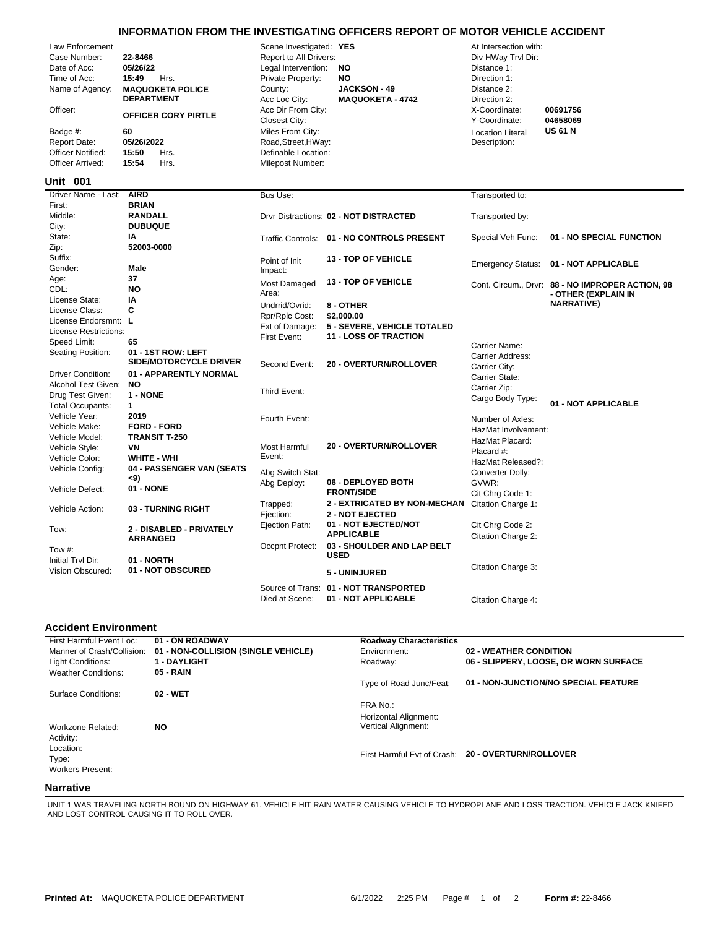## **INFORMATION FROM THE INVESTIGATING OFFICERS REPORT OF MOTOR VEHICLE ACCIDENT**

| Law Enforcement<br>Case Number:<br>Date of Acc:<br>Time of Acc:<br>Name of Agency:<br>Officer:<br>Badge #:<br><b>Report Date:</b><br>Officer Notified:<br>Officer Arrived:<br>Unit 001 | 22-8466<br>05/26/22<br>15:49<br>Hrs.<br><b>MAQUOKETA POLICE</b><br><b>DEPARTMENT</b><br><b>OFFICER CORY PIRTLE</b><br>60<br>05/26/2022<br>15:50<br>Hrs.<br>15:54<br>Hrs. | Scene Investigated: YES<br>Report to All Drivers:<br>Legal Intervention:<br>Private Property:<br>County:<br>Acc Loc City:<br>Acc Dir From City:<br><b>Closest City:</b><br>Miles From City:<br>Road, Street, HWay:<br>Definable Location:<br>Milepost Number: | <b>NO</b><br><b>NO</b><br><b>JACKSON - 49</b><br><b>MAQUOKETA - 4742</b> | At Intersection with:<br>Div HWay Trvl Dir:<br>Distance 1:<br>Direction 1:<br>Distance 2:<br>Direction 2:<br>X-Coordinate:<br>Y-Coordinate:<br><b>Location Literal</b><br>Description: | 00691756<br>04658069<br><b>US 61 N</b>                                  |
|----------------------------------------------------------------------------------------------------------------------------------------------------------------------------------------|--------------------------------------------------------------------------------------------------------------------------------------------------------------------------|---------------------------------------------------------------------------------------------------------------------------------------------------------------------------------------------------------------------------------------------------------------|--------------------------------------------------------------------------|----------------------------------------------------------------------------------------------------------------------------------------------------------------------------------------|-------------------------------------------------------------------------|
| Driver Name - Last:                                                                                                                                                                    | <b>AIRD</b>                                                                                                                                                              | Bus Use:                                                                                                                                                                                                                                                      |                                                                          | Transported to:                                                                                                                                                                        |                                                                         |
| First:                                                                                                                                                                                 | <b>BRIAN</b>                                                                                                                                                             |                                                                                                                                                                                                                                                               |                                                                          |                                                                                                                                                                                        |                                                                         |
| Middle:<br>City:                                                                                                                                                                       | <b>RANDALL</b><br><b>DUBUQUE</b>                                                                                                                                         |                                                                                                                                                                                                                                                               | Drvr Distractions: 02 - NOT DISTRACTED                                   | Transported by:                                                                                                                                                                        |                                                                         |
| State:                                                                                                                                                                                 | IA                                                                                                                                                                       |                                                                                                                                                                                                                                                               | Traffic Controls: 01 - NO CONTROLS PRESENT                               | Special Veh Func:                                                                                                                                                                      | 01 - NO SPECIAL FUNCTION                                                |
| Zip:                                                                                                                                                                                   | 52003-0000                                                                                                                                                               |                                                                                                                                                                                                                                                               |                                                                          |                                                                                                                                                                                        |                                                                         |
| Suffix:<br>Gender:                                                                                                                                                                     | Male                                                                                                                                                                     | Point of Init                                                                                                                                                                                                                                                 | <b>13 - TOP OF VEHICLE</b>                                               | <b>Emergency Status:</b>                                                                                                                                                               | 01 - NOT APPLICABLE                                                     |
| Age:                                                                                                                                                                                   | 37                                                                                                                                                                       | Impact:                                                                                                                                                                                                                                                       |                                                                          |                                                                                                                                                                                        |                                                                         |
| CDL:                                                                                                                                                                                   | <b>NO</b>                                                                                                                                                                | Most Damaged<br>Area:                                                                                                                                                                                                                                         | <b>13 - TOP OF VEHICLE</b>                                               |                                                                                                                                                                                        | Cont. Circum., Drvr: 88 - NO IMPROPER ACTION, 98<br>- OTHER (EXPLAIN IN |
| License State:                                                                                                                                                                         | I٨                                                                                                                                                                       | Undrrid/Ovrid:                                                                                                                                                                                                                                                | 8 - OTHER                                                                |                                                                                                                                                                                        | <b>NARRATIVE)</b>                                                       |
| License Class:                                                                                                                                                                         | C                                                                                                                                                                        | Rpr/Rplc Cost:                                                                                                                                                                                                                                                | \$2,000.00                                                               |                                                                                                                                                                                        |                                                                         |
| License Endorsmnt: L                                                                                                                                                                   |                                                                                                                                                                          | Ext of Damage:                                                                                                                                                                                                                                                | 5 - SEVERE, VEHICLE TOTALED                                              |                                                                                                                                                                                        |                                                                         |
| <b>License Restrictions:</b>                                                                                                                                                           |                                                                                                                                                                          | First Event:                                                                                                                                                                                                                                                  | <b>11 - LOSS OF TRACTION</b>                                             |                                                                                                                                                                                        |                                                                         |
| Speed Limit:                                                                                                                                                                           | 65                                                                                                                                                                       |                                                                                                                                                                                                                                                               |                                                                          | Carrier Name:                                                                                                                                                                          |                                                                         |
| Seating Position:                                                                                                                                                                      | 01 - 1ST ROW: LEFT<br><b>SIDE/MOTORCYCLE DRIVER</b>                                                                                                                      | Second Event:                                                                                                                                                                                                                                                 | <b>20 - OVERTURN/ROLLOVER</b>                                            | Carrier Address:<br>Carrier City:                                                                                                                                                      |                                                                         |
| <b>Driver Condition:</b>                                                                                                                                                               | 01 - APPARENTLY NORMAL                                                                                                                                                   |                                                                                                                                                                                                                                                               |                                                                          | Carrier State:                                                                                                                                                                         |                                                                         |
| Alcohol Test Given:                                                                                                                                                                    | <b>NO</b>                                                                                                                                                                | Third Event:                                                                                                                                                                                                                                                  |                                                                          | Carrier Zip:                                                                                                                                                                           |                                                                         |
| Drug Test Given:<br><b>Total Occupants:</b>                                                                                                                                            | 1 - NONE<br>$\mathbf{1}$                                                                                                                                                 |                                                                                                                                                                                                                                                               |                                                                          | Cargo Body Type:                                                                                                                                                                       | 01 - NOT APPLICABLE                                                     |
| Vehicle Year:                                                                                                                                                                          | 2019                                                                                                                                                                     |                                                                                                                                                                                                                                                               |                                                                          |                                                                                                                                                                                        |                                                                         |
| Vehicle Make:                                                                                                                                                                          | <b>FORD - FORD</b>                                                                                                                                                       | Fourth Event:                                                                                                                                                                                                                                                 |                                                                          | Number of Axles:                                                                                                                                                                       |                                                                         |
| Vehicle Model:                                                                                                                                                                         | <b>TRANSIT T-250</b>                                                                                                                                                     |                                                                                                                                                                                                                                                               |                                                                          | HazMat Involvement:                                                                                                                                                                    |                                                                         |
| Vehicle Style:                                                                                                                                                                         | VN                                                                                                                                                                       | <b>Most Harmful</b>                                                                                                                                                                                                                                           | 20 - OVERTURN/ROLLOVER                                                   | HazMat Placard:<br>Placard #:                                                                                                                                                          |                                                                         |
| Vehicle Color:                                                                                                                                                                         | <b>WHITE - WHI</b>                                                                                                                                                       | Event:                                                                                                                                                                                                                                                        |                                                                          | HazMat Released?:                                                                                                                                                                      |                                                                         |
| Vehicle Config:                                                                                                                                                                        | 04 - PASSENGER VAN (SEATS                                                                                                                                                | Abg Switch Stat:                                                                                                                                                                                                                                              |                                                                          | Converter Dolly:                                                                                                                                                                       |                                                                         |
|                                                                                                                                                                                        | <9)                                                                                                                                                                      | Abg Deploy:                                                                                                                                                                                                                                                   | 06 - DEPLOYED BOTH                                                       | GVWR:                                                                                                                                                                                  |                                                                         |
| Vehicle Defect:                                                                                                                                                                        | 01 - NONE                                                                                                                                                                |                                                                                                                                                                                                                                                               | <b>FRONT/SIDE</b>                                                        | Cit Chrg Code 1:                                                                                                                                                                       |                                                                         |
| Vehicle Action:                                                                                                                                                                        | 03 - TURNING RIGHT                                                                                                                                                       | Trapped:<br>Ejection:                                                                                                                                                                                                                                         | 2 - EXTRICATED BY NON-MECHAN<br><b>2 - NOT EJECTED</b>                   | Citation Charge 1:                                                                                                                                                                     |                                                                         |
| Tow:                                                                                                                                                                                   | 2 - DISABLED - PRIVATELY<br><b>ARRANGED</b>                                                                                                                              | Ejection Path:                                                                                                                                                                                                                                                | 01 - NOT EJECTED/NOT<br><b>APPLICABLE</b>                                | Cit Chrg Code 2:<br>Citation Charge 2:                                                                                                                                                 |                                                                         |
| Tow #:                                                                                                                                                                                 |                                                                                                                                                                          | Occpnt Protect:                                                                                                                                                                                                                                               | 03 - SHOULDER AND LAP BELT                                               |                                                                                                                                                                                        |                                                                         |
| Initial Tryl Dir:                                                                                                                                                                      | 01 - NORTH                                                                                                                                                               |                                                                                                                                                                                                                                                               | <b>USED</b>                                                              |                                                                                                                                                                                        |                                                                         |
| Vision Obscured:                                                                                                                                                                       | 01 - NOT OBSCURED                                                                                                                                                        |                                                                                                                                                                                                                                                               | 5 - UNINJURED                                                            | Citation Charge 3:                                                                                                                                                                     |                                                                         |
|                                                                                                                                                                                        |                                                                                                                                                                          |                                                                                                                                                                                                                                                               | Source of Trans: 01 - NOT TRANSPORTED                                    |                                                                                                                                                                                        |                                                                         |

## **Accident Environment**

| First Harmful Event Loc:                      | 01 - ON ROADWAY                     | <b>Roadway Characteristics</b>    |                                                    |
|-----------------------------------------------|-------------------------------------|-----------------------------------|----------------------------------------------------|
| Manner of Crash/Collision:                    | 01 - NON-COLLISION (SINGLE VEHICLE) | Environment:                      | <b>02 - WEATHER CONDITION</b>                      |
| Light Conditions:                             | 1 - DAYLIGHT                        | Roadway:                          | 06 - SLIPPERY, LOOSE, OR WORN SURFACE              |
| <b>Weather Conditions:</b>                    | 05 - RAIN                           |                                   |                                                    |
|                                               |                                     | Type of Road Junc/Feat:           | 01 - NON-JUNCTION/NO SPECIAL FEATURE               |
| Surface Conditions:                           | 02 - WET                            |                                   |                                                    |
|                                               |                                     | FRA No.:<br>Horizontal Alignment: |                                                    |
| Workzone Related:<br>Activity:                | <b>NO</b>                           | <b>Vertical Alignment:</b>        |                                                    |
| Location:<br>Type:<br><b>Workers Present:</b> |                                     |                                   | First Harmful Evt of Crash: 20 - OVERTURN/ROLLOVER |
| <b>ALCOHOL: 1999</b>                          |                                     |                                   |                                                    |

Died at Scene: **01 - NOT APPLICABLE** Citation Charge 4:

## **Narrative**

UNIT 1 WAS TRAVELING NORTH BOUND ON HIGHWAY 61. VEHICLE HIT RAIN WATER CAUSING VEHICLE TO HYDROPLANE AND LOSS TRACTION. VEHICLE JACK KNIFED AND LOST CONTROL CAUSING IT TO ROLL OVER.